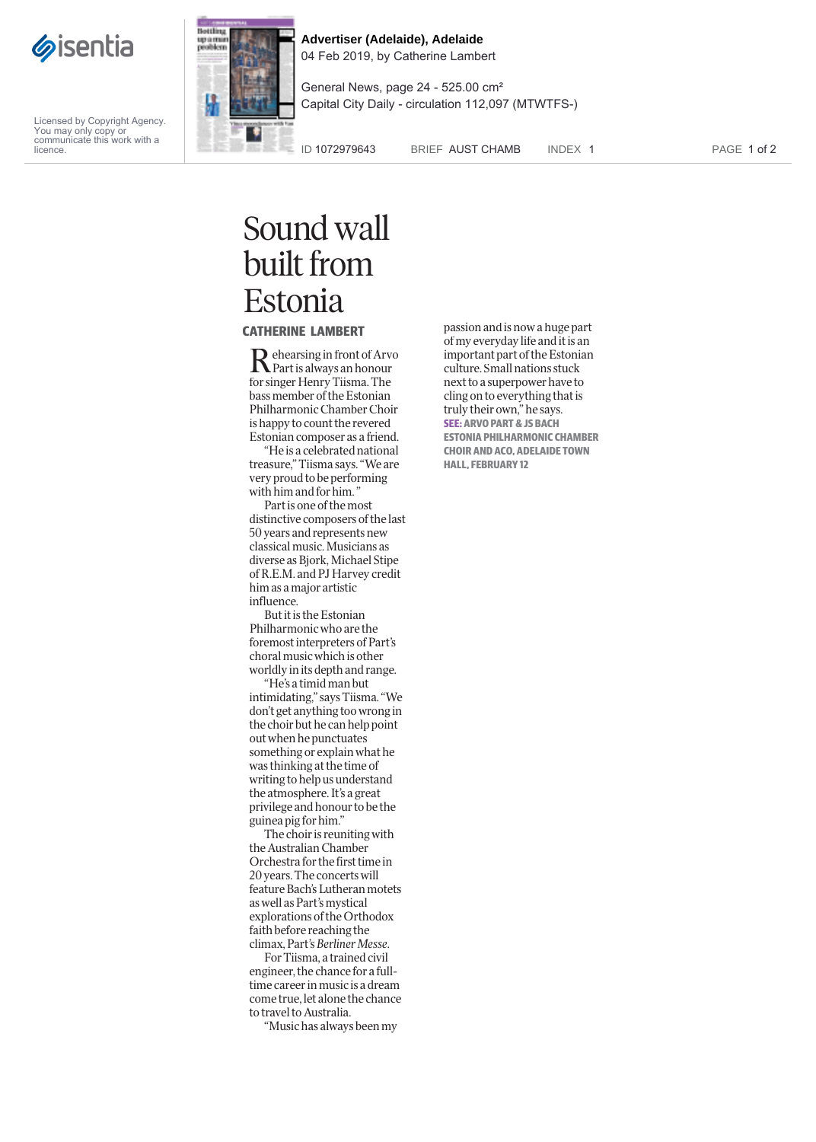

Licensed by Copyright Agency. You may only copy or communicate this work with a licence.



**Advertiser (Adelaide), Adelaide** 04 Feb 2019, by Catherine Lambert

General News, page 24 - 525.00 cm² Capital City Daily - circulation 112,097 (MTWTFS-)

ID 1072979643 BRIEF AUST CHAMB INDEX 1

PAGE 1 of 2

## Sound wall built from Estonia

**CATHERINE LAMBERT**

Rehearsing in front of Arv<br>Part is always an honour ehearsing in front of Arvo for singer Henr y Tiisma. The bass member of the E stonian Philharmonic Chamber Choir is happy to count t he revere d Eston ian composer as a friend.

"He is a ce l e brate d nationa l treasure, " Tiisma says. "We are very proud to be per forming w i th him a n d for him " .

Part i s one of the mo st di stinctive com posers of the last 50 years and represents new c lassica l music. Musicians as diverse as Bjor k, Mic hae l Stipe o f R.E.M. and PJ Harvey credit him as a major artistic in fluence.

But it is the E stonian Philharmonic who are the foremost inter preters of Part's choral mu sic which i s other worldly in its dept h an d range.

"He 's a timid man but intimidating, " says Tiisma. "We don't get anything too wrong in the c hoir but he can h e lp point out when he punctuates somethin g or explain what he was thinkin g at the time of writin g to help us understand the atmosp here. I t 's a great privi lege an d honour to be t he guinea pig for him."

T he c hoir is reuniting wit h the Austra lian C ham ber Orche stra for the fir st time in 20 years. The concert s will feature Bach's Lutheran motet s as well as Part's m ystical explorations o f the Orthodox faith be fore reaching the c limax , Part 's Ber liner Messe .

For Tiisma, a traine d civi l engineer, the chance for a fulltime career in music is a dream come true, let alone the chance to t ravel to Au stralia.

"Music has always been m y

passion an d is now a huge part of my everyday li fe and it is an important part o f the Estonian culture. Small nation s stuck next to a su per power have to cling on to ever ything that is trul y their own," he says. **SEE: ARVO PART & JS BACH ESTONIA PHILHARMONIC CHAMBER CHOIR AND ACO, ADELAIDE TOWN HALL, FEBRUARY 12**